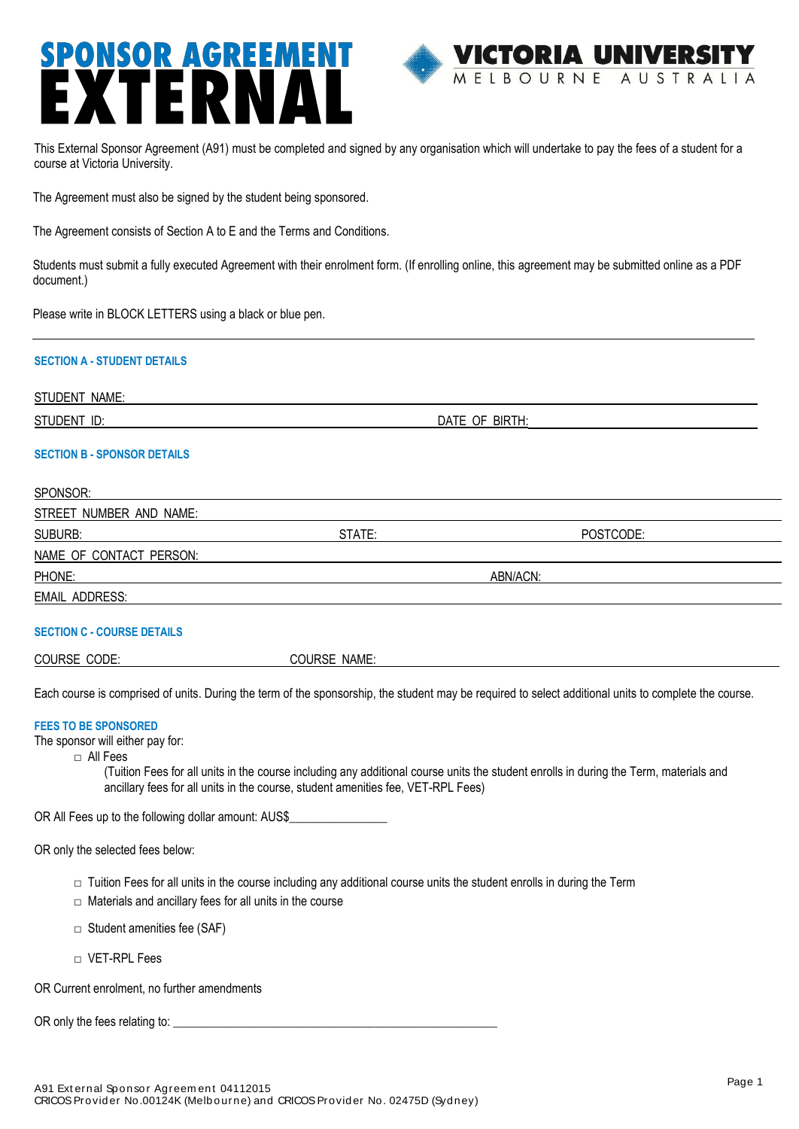# **SPONSOR AGREEMENT**



 This External Sponsor Agreement (A91) must be completed and signed by any organisation which will undertake to pay the fees of a student for a course at Victoria University.

The Agreement must also be signed by the student being sponsored.

The Agreement consists of Section A to E and the Terms and Conditions.

Students must submit a fully executed Agreement with their enrolment form. (If enrolling online, this agreement may be submitted online as a PDF document.)

Please write in BLOCK LETTERS using a black or blue pen.

### **SECTION A - STUDENT DETAILS**

STUDENT NAME:

STUDENT ID:  $DATE OF BIRTH:$ 

### **SECTION B - SPONSOR DETAILS**

| SPONSOR:                |          |           |  |
|-------------------------|----------|-----------|--|
| STREET NUMBER AND NAME: |          |           |  |
| SUBURB:                 | STATE:   | POSTCODE: |  |
| NAME OF CONTACT PERSON: |          |           |  |
| PHONE:                  | ABN/ACN: |           |  |
| EMAIL ADDRESS:          |          |           |  |

### **SECTION C - COURSE DETAILS**

COURSE NAME:

Each course is comprised of units. During the term of the sponsorship, the student may be required to select additional units to complete the course.

### **FEES TO BE SPONSORED**

The sponsor will either pay for:

□ All Fees

(Tuition Fees for all units in the course including any additional course units the student enrolls in during the Term, materials and ancillary fees for all units in the course, student amenities fee, VET-RPL Fees)

OR All Fees up to the following dollar amount: AUS\$\_\_\_\_\_\_\_\_\_\_\_\_\_\_\_\_

OR only the selected fees below:

- $\Box$  Tuition Fees for all units in the course including any additional course units the student enrolls in during the Term
- $\Box$  Materials and ancillary fees for all units in the course
- $\Box$  Student amenities fee (SAF)
- □ VET-RPL Fees

OR Current enrolment, no further amendments

OR only the fees relating to: \_\_\_\_\_\_\_\_\_\_\_\_\_\_\_\_\_\_\_\_\_\_\_\_\_\_\_\_\_\_\_\_\_\_\_\_\_\_\_\_\_\_\_\_\_\_\_\_\_\_\_\_\_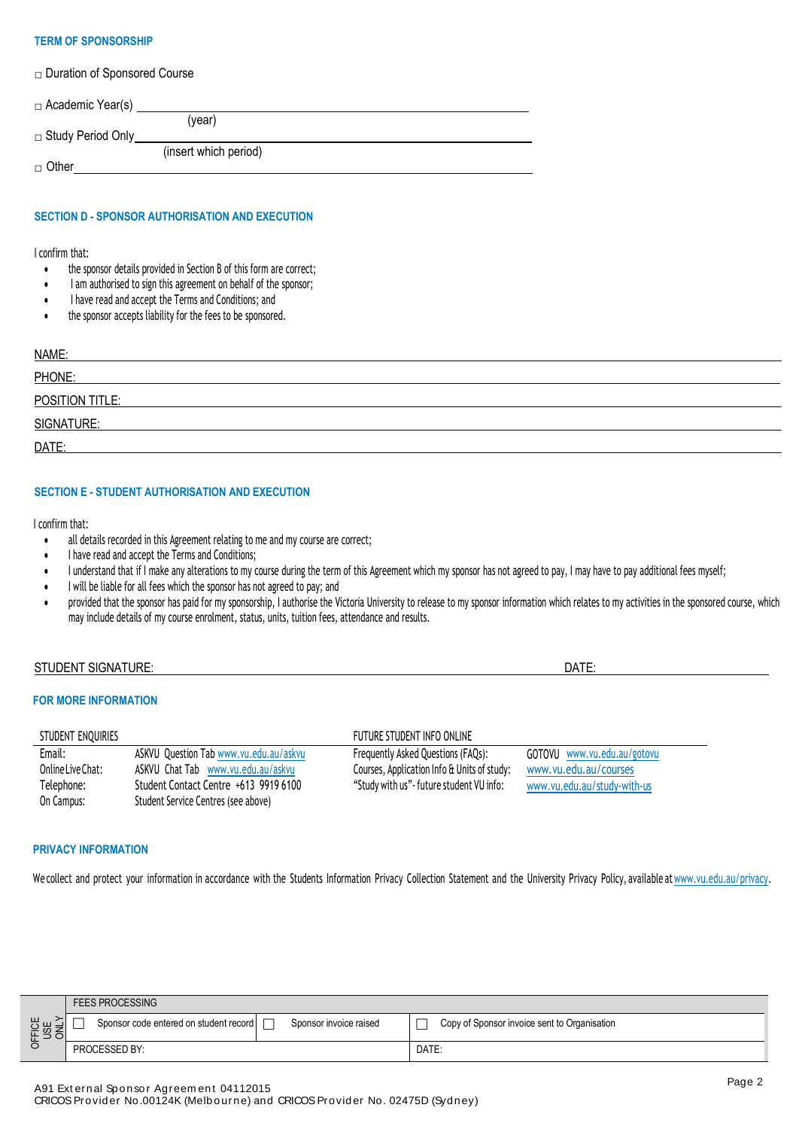### **TERM OF SPONSORSHIP**

□ Duration of Sponsored Course

| $\Box$ Academic Year(s)  |                       |  |
|--------------------------|-----------------------|--|
|                          | (vear)                |  |
| $\Box$ Study Period Only |                       |  |
|                          | (insert which period) |  |
| $\Box$ Other             |                       |  |

# **SECTION D - SPONSOR AUTHORISATION AND EXECUTION**

### I confirm that:

- the sponsor details provided in Section B of this form are correct;
- I am authorised to sign this agreement on behalf of the sponsor;
- I have read and accept the Terms and Conditions; and
- the sponsor accepts liability for the fees to be sponsored.

| NAME:           |  |
|-----------------|--|
| PHONE:          |  |
| POSITION TITLE: |  |
| SIGNATURE:      |  |
| DATE:           |  |

### **SECTION E - STUDENT AUTHORISATION AND EXECUTION**

I confirm that:

all details recorded in this Agreement relating to me and my course are correct;

ASKVU Question Tab [www.vu.edu.au/askvu](http://www.vu.edu.au/askvu) ASKVU Chat Tab [www.vu.edu.au/askvu](http://www.vu.edu.au/askvu) Student Contact Centre +613 9919 6100 Student Service Centres (see above)

- I have read and accept the Terms and Conditions;
- I understand that if I make any alterations to my course during the term of this Agreement which my sponsor has not agreed to pay, I may have to pay additional fees myself;
- I will be liable for all fees which the sponsor has not agreed to pay; and
- provided that the sponsor has paid for my sponsorship, I authorise the Victoria University to release to my sponsor information which relates to my activities in the sponsored course, which may include details of my course enrolment, status, units, tuition fees, attendance and results.

### STUDENT SIGNATURE: DATE: DATE: DATE: DATE: DATE: DATE: DATE: DATE: DATE: DATE: DATE: DATE: DATE: DATE: DATE: DATE: DATE: DATE: DATE: DATE: DATE: DATE: DATE: DATE: DATE: DATE: DATE: DATE: DATE: DATE: DATE: DATE: DATE: DATE:

### **FOR MORE INFORMATION**

Email: OnlineLiveChat: Telephone: On Campus:

### STUDENT ENQUIRIES FUTURE STUDENT INFO ONLINE

Frequently Asked Questions (FAQs): Courses, Application Info & Units of study: "Study with us"-future student VU info:

GOTOVU [www.vu.edu.au/gotovu](http://www.vu.edu.au/GOTOVU) [www.vu.edu.au/courses](http://www.vu.edu.au/COURSES) [www.vu.edu.au/study-with-us](http://www.vu.edu.au/study-with-us)

### **PRIVACY INFORMATION**

We collect and protect your information in accordance with the Students Information Privacy Collection Statement and the University Privacy Policy, available at [www.vu.edu.au/privacy.](http://www.vu.edu.au/privacy)

|                                 | <b>FEES PROCESSING</b>                 |                        |                                              |  |
|---------------------------------|----------------------------------------|------------------------|----------------------------------------------|--|
| <b>FICE</b><br>USE<br>ONLY<br>동 | Sponsor code entered on student record | Sponsor invoice raised | Copy of Sponsor invoice sent to Organisation |  |
|                                 | PROCESSED BY:                          |                        | DATE:                                        |  |